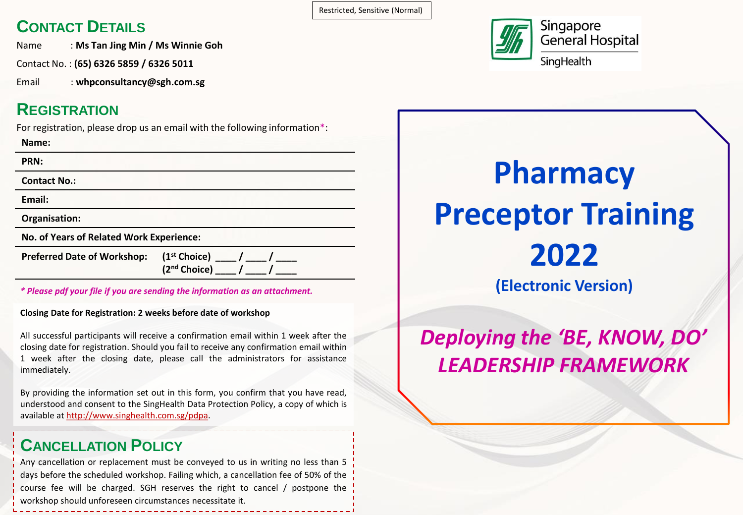### **CONTACT DETAILS**

Name : **Ms Tan Jing Min / Ms Winnie Goh**

Contact No. : **(65) 6326 5859 / 6326 5011**

Email : **whpconsultancy@sgh.com.sg**

### **REGISTRATION**

For registration, please drop us an email with the following information\*:

**Name:**

**PRN:**

**Contact No.:**

**Email:**

**Organisation:**

**No. of Years of Related Work Experience:**

**Preferred Date of Workshop: (1<sup>st</sup> Choice)** 

**(2nd Choice) \_\_\_\_ / \_\_\_\_ / \_\_\_\_**

*\* Please pdf your file if you are sending the information as an attachment.*

**Closing Date for Registration: 2 weeks before date of workshop**

All successful participants will receive a confirmation email within 1 week after the closing date for registration. Should you fail to receive any confirmation email within 1 week after the closing date, please call the administrators for assistance immediately.

By providing the information set out in this form, you confirm that you have read, understood and consent to the SingHealth Data Protection Policy, a copy of which is available at http://www.singhealth.com.sg/pdpa.

### **CANCELLATION POLICY**

Any cancellation or replacement must be conveyed to us in writing no less than 5 days before the scheduled workshop. Failing which, a cancellation fee of 50% of the course fee will be charged. SGH reserves the right to cancel / postpone the workshop should unforeseen circumstances necessitate it.

Restricted, Sensitive (Normal)



# **Pharmacy Preceptor Training 2022 (Electronic Version)**

*Deploying the 'BE, KNOW, DO' LEADERSHIP FRAMEWORK*